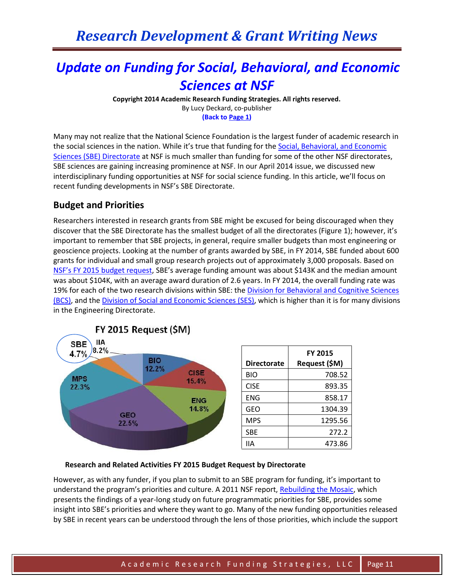# *Update on Funding for Social, Behavioral, and Economic Sciences at NSF*

**Copyright 2014 Academic Research Funding Strategies. All rights reserved.** By Lucy Deckard, co-publisher

**(Back to Page 1)**

Many may not realize that the National Science Foundation is the largest funder of academic research in the social sciences in the nation. While it's true that funding for the [Social, Behavioral, and Economic](http://www.nsf.gov/dir/index.jsp?org=SBE)  Sciences (SBE) [Directorate](http://www.nsf.gov/dir/index.jsp?org=SBE) at NSF is much smaller than funding for some of the other NSF directorates, SBE sciences are gaining increasing prominence at NSF. In our April 2014 issue, we discussed new interdisciplinary funding opportunities at NSF for social science funding. In this article, we'll focus on recent funding developments in NSF's SBE Directorate.

# **Budget and Priorities**

Researchers interested in research grants from SBE might be excused for being discouraged when they discover that the SBE Directorate has the smallest budget of all the directorates (Figure 1); however, it's important to remember that SBE projects, in general, require smaller budgets than most engineering or geoscience projects. Looking at the number of grants awarded by SBE, in FY 2014, SBE funded about 600 grants for individual and small group research projects out of approximately 3,000 proposals. Based on NSF'[s FY 2015 budget](http://www.nsf.gov/about/budget/fy2015/pdf/22_fy2015.pdf) request, SBE's average funding amount was about \$143K and the median amount was about \$104K, with an average award duration of 2.6 years. In FY 2014, the overall funding rate was 19% for each of the two research divisions within SBE: th[e Division for Behavioral and Cognitive Sciences](http://www.nsf.gov/div/index.jsp?div=BCS)  [\(BCS\),](http://www.nsf.gov/div/index.jsp?div=BCS) and th[e Division of Social and Economic Sciences \(SES\),](http://www.nsf.gov/div/index.jsp?div=SES) which is higher than it is for many divisions in the Engineering Directorate.



### **Research and Related Activities FY 2015 Budget Request by Directorate**

However, as with any funder, if you plan to submit to an SBE program for funding, it's important to understand the program's priorities and culture. A 2011 NSF report, [Rebuilding the Mosaic,](http://www.nsf.gov/pubs/2011/nsf11086/nsf11086.pdf) which presents the findings of a year-long study on future programmatic priorities for SBE, provides some insight into SBE's priorities and where they want to go. Many of the new funding opportunities released by SBE in recent years can be understood through the lens of those priorities, which include the support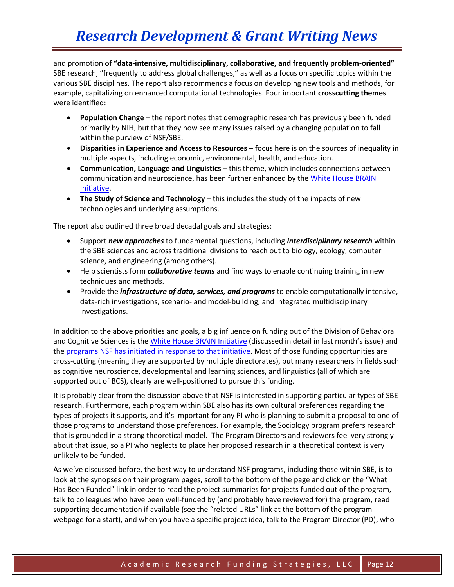and promotion of **"data-intensive, multidisciplinary, collaborative, and frequently problem-oriented"** SBE research, "frequently to address global challenges," as well as a focus on specific topics within the various SBE disciplines. The report also recommends a focus on developing new tools and methods, for example, capitalizing on enhanced computational technologies. Four important **crosscutting themes** were identified:

- **Population Change** the report notes that demographic research has previously been funded primarily by NIH, but that they now see many issues raised by a changing population to fall within the purview of NSF/SBE.
- **Disparities in Experience and Access to Resources** focus here is on the sources of inequality in multiple aspects, including economic, environmental, health, and education.
- **Communication, Language and Linguistics** this theme, which includes connections between communication and neuroscience, has been further enhanced by th[e White House](http://www.whitehouse.gov/BRAIN) BRAIN [Initiative.](http://www.whitehouse.gov/BRAIN)
- **The Study of Science and Technology** this includes the study of the impacts of new technologies and underlying assumptions.

The report also outlined three broad decadal goals and strategies:

- Support *new approaches* to fundamental questions, including *interdisciplinary research* within the SBE sciences and across traditional divisions to reach out to biology, ecology, computer science, and engineering (among others).
- Help scientists form *collaborative teams* and find ways to enable continuing training in new techniques and methods.
- Provide the *infrastructure of data, services, and programs* to enable computationally intensive, data-rich investigations, scenario- and model-building, and integrated multidisciplinary investigations.

In addition to the above priorities and goals, a big influence on funding out of the Division of Behavioral and Cognitive Sciences is the White House [BRAIN Initiative](http://www.whitehouse.gov/BRAIN) (discussed in detail in last month's issue) and th[e programs NSF has initiated in response to that initiative.](http://www.nsf.gov/news/special_reports/brain/) Most of those funding opportunities are cross-cutting (meaning they are supported by multiple directorates), but many researchers in fields such as cognitive neuroscience, developmental and learning sciences, and linguistics (all of which are supported out of BCS), clearly are well-positioned to pursue this funding.

It is probably clear from the discussion above that NSF is interested in supporting particular types of SBE research. Furthermore, each program within SBE also has its own cultural preferences regarding the types of projects it supports, and it's important for any PI who is planning to submit a proposal to one of those programs to understand those preferences. For example, the Sociology program prefers research that is grounded in a strong theoretical model. The Program Directors and reviewers feel very strongly about that issue, so a PI who neglects to place her proposed research in a theoretical context is very unlikely to be funded.

As we've discussed before, the best way to understand NSF programs, including those within SBE, is to look at the synopses on their program pages, scroll to the bottom of the page and click on the "What Has Been Funded" link in order to read the project summaries for projects funded out of the program, talk to colleagues who have been well-funded by (and probably have reviewed for) the program, read supporting documentation if available (see the "related URLs" link at the bottom of the program webpage for a start), and when you have a specific project idea, talk to the Program Director (PD), who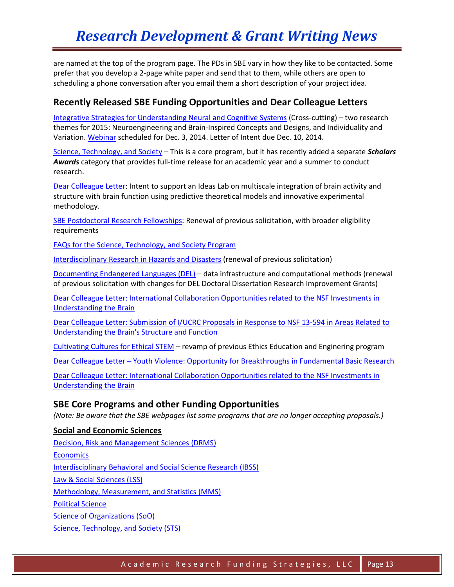are named at the top of the program page. The PDs in SBE vary in how they like to be contacted. Some prefer that you develop a 2-page white paper and send that to them, while others are open to scheduling a phone conversation after you email them a short description of your project idea.

# **Recently Released SBE Funding Opportunities and Dear Colleague Letters**

[Integrative Strategies for Understanding Neural and Cognitive Systems](http://www.nsf.gov/funding/pgm_summ.jsp?pims_id=505132&org=NSF) (Cross-cutting) – two research themes for 2015: Neuroengineering and Brain-Inspired Concepts and Designs, and Individuality and Variation. [Webinar](https://nsfevents.webex.com/nsfevents/onstage/g.php?d=748565712&t=a) scheduled for Dec. 3, 2014. Letter of Intent due Dec. 10, 2014.

[Science, Technology, and Society](http://www.nsf.gov/pubs/2015/nsf15506/nsf15506.htm?WT.mc_id=USNSF_25&WT.mc_ev=click) – This is a core program, but it has recently added a separate *Scholars Awards* category that provides full-time release for an academic year and a summer to conduct research.

[Dear Colleague Letter:](http://www.nsf.gov/pubs/2014/nsf14126/nsf14126.jsp?org=NSF) Intent to support an Ideas Lab on multiscale integration of brain activity and structure with brain function using predictive theoretical models and innovative experimental methodology.

[SBE Postdoctoral Research Fellowships:](http://www.nsf.gov/pubs/2014/nsf14595/nsf14595.htm?org=NSF) Renewal of previous solicitation, with broader eligibility requirements

[FAQs for the Science, Technology, and Society Program](http://www.nsf.gov/pubs/2014/nsf14089/nsf14089.jsp?org=NSF)

[Interdisciplinary Research in Hazards and Disasters](http://www.nsf.gov/pubs/2014/nsf14581/nsf14581.htm?org=NSF) (renewal of previous solicitation)

[Documenting Endangered Languages \(DEL\)](http://www.nsf.gov/pubs/2014/nsf14580/nsf14580.htm?org=NSF) – data infrastructure and computational methods (renewal of previous solicitation with changes for DEL Doctoral Dissertation Research Improvement Grants)

[Dear Colleague Letter: International Collaboration Opportunities related to the NSF Investments in](http://www.nsf.gov/pubs/2014/nsf14082/nsf14082.jsp?org=NSF)  [Understanding the Brain](http://www.nsf.gov/pubs/2014/nsf14082/nsf14082.jsp?org=NSF)

Dear Colleague Letter: [Submission of I/UCRC Proposals in Response to NSF 13-594 in Areas Related to](http://www.nsf.gov/pubs/2014/nsf14125/nsf14125.jsp)  [Understanding the Brain's Structure and Function](http://www.nsf.gov/pubs/2014/nsf14125/nsf14125.jsp)

[Cultivating Cultures for Ethical STEM](http://www.nsf.gov/pubs/2014/nsf14546/nsf14546.htm?org=NSF) – revamp of previous Ethics Education and Enginering program

Dear Colleague Letter – [Youth Violence: Opportunity for Breakthroughs in Fundamental Basic Research](http://www.nsf.gov/pubs/2014/nsf14049/nsf14049.jsp)

[Dear Colleague Letter: International Collaboration Opportunities related to the NSF Investments in](http://www.nsf.gov/pubs/2014/nsf14082/nsf14082.jsp?org=NSF)  [Understanding the Brain](http://www.nsf.gov/pubs/2014/nsf14082/nsf14082.jsp?org=NSF)

## **SBE Core Programs and other Funding Opportunities**

*(Note: Be aware that the SBE webpages list some programs that are no longer accepting proposals.)*

### **Social and Economic Sciences**

[Decision, Risk and Management Sciences](http://www.nsf.gov/funding/pgm_summ.jsp?pims_id=5423&org=SES&from=home) (DRMS) **[Economics](http://www.nsf.gov/funding/pgm_summ.jsp?pims_id=5437&org=SES&from=home)** [Interdisciplinary Behavioral and Social Science Research](http://www.nsf.gov/funding/pgm_summ.jsp?pims_id=504832&org=SES&from=home) (IBSS) [Law & Social Sciences](http://www.nsf.gov/funding/pgm_summ.jsp?pims_id=504727&org=SES&from=home) (LSS) [Methodology, Measurement, and Statistics](http://www.nsf.gov/funding/pgm_summ.jsp?pims_id=5421&org=SES&from=home) (MMS) [Political Science](http://www.nsf.gov/funding/pgm_summ.jsp?pims_id=5418&org=SES&from=home) [Science of Organizations](http://www.nsf.gov/funding/pgm_summ.jsp?pims_id=504696&org=SES&from=home) (SoO) [Science, Technology, and Society](http://www.nsf.gov/funding/pgm_summ.jsp?pims_id=5324&org=SES&from=home) (STS)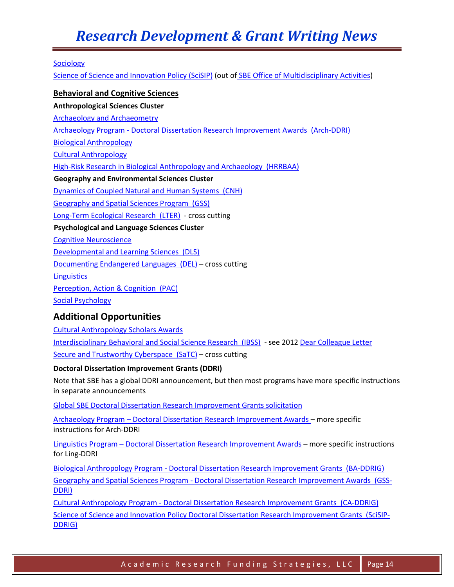# *Research Development & Grant Writing News*

#### [Sociology](http://www.nsf.gov/funding/pgm_summ.jsp?pims_id=5369&org=SES&from=home)

[Science of Science and Innovation Policy](http://www.nsf.gov/funding/pgm_summ.jsp?pims_id=501084&org=SMA&from=home) (SciSIP) (out of [SBE Office of Multidisciplinary Activities\)](http://www.nsf.gov/div/index.jsp?org=SMA)

#### **Behavioral and Cognitive Sciences**

**Anthropological Sciences Cluster** [Archaeology and Archaeometry](http://www.nsf.gov/funding/pgm_summ.jsp?pims_id=11690&org=BCS&from=home)  Archaeology Program - [Doctoral Dissertation Research Improvement Awards \(Arch-DDRI\)](http://www.nsf.gov/funding/pgm_summ.jsp?pims_id=505076&org=BCS&from=home) [Biological Anthropology](http://www.nsf.gov/funding/pgm_summ.jsp?pims_id=5407&org=BCS&from=home)  [Cultural Anthropology](http://www.nsf.gov/funding/pgm_summ.jsp?pims_id=5388&org=BCS&from=home)  [High-Risk Research in Biological Anthropology and Archaeology \(HRRBAA\)](http://www.nsf.gov/funding/pgm_summ.jsp?pims_id=5319&org=BCS&from=home) **Geography and Environmental Sciences Cluster** [Dynamics of Coupled Natural and Human Systems \(CNH\)](http://www.nsf.gov/funding/pgm_summ.jsp?pims_id=13681&org=BCS&from=home) [Geography and Spatial Sciences Program \(GSS\)](http://www.nsf.gov/funding/pgm_summ.jsp?pims_id=505034&org=BCS&from=home) [Long-Term Ecological Research \(LTER\)](http://www.nsf.gov/funding/pgm_summ.jsp?pims_id=7671&org=BCS&from=home) - cross cutting **Psychological and Language Sciences Cluster** [Cognitive Neuroscience](http://www.nsf.gov/funding/pgm_summ.jsp?pims_id=5316&org=BCS&from=home)  [Developmental and Learning Sciences \(DLS\)](http://www.nsf.gov/funding/pgm_summ.jsp?pims_id=8671&org=BCS&from=home) [Documenting Endangered Languages \(DEL\)](http://www.nsf.gov/funding/pgm_summ.jsp?pims_id=12816&org=BCS&from=home) – cross cutting **Linguistics** [Perception, Action & Cognition \(PAC\)](http://www.nsf.gov/funding/pgm_summ.jsp?pims_id=5686&org=BCS&from=home) [Social Psychology](http://www.nsf.gov/funding/pgm_summ.jsp?pims_id=5712&org=BCS&from=home) 

## **Additional Opportunities**

[Cultural Anthropology Scholars Awards](http://www.nsf.gov/funding/pgm_summ.jsp?pims_id=5321&org=BCS&from=home)  [Interdisciplinary Behavioral and Social Science Research \(IBSS\)](http://www.nsf.gov/funding/pgm_summ.jsp?pims_id=504832&org=BCS&from=home) - see 201[2 Dear Colleague Letter](http://www.nsf.gov/pubs/2012/nsf12123/nsf12123.jsp) [Secure and Trustworthy Cyberspace](http://www.nsf.gov/funding/pgm_summ.jsp?pims_id=504709&org=SBE&from=home) (SaTC) - cross cutting

#### **Doctoral Dissertation Improvement Grants (DDRI)**

Note that SBE has a global DDRI announcement, but then most programs have more specific instructions in separate announcements

[Global SBE Doctoral Dissertation Research Improvement Grants solicitation](http://www.nsf.gov/pubs/2011/nsf11547/nsf11547.htm)

Archaeology Program – [Doctoral Dissertation Research Improvement Awards](http://www.nsf.gov/pubs/2014/nsf14566/nsf14566.htm?org=NSF) – more specific instructions for Arch-DDRI

Linguistics Program – [Doctoral Dissertation Research Improvement Awards](http://www.nsf.gov/pubs/2014/nsf14551/nsf14551.htm?org=NSF) – more specific instructions for Ling-DDRI

Biological Anthropology Program - [Doctoral Dissertation Research Improvement Grants \(BA-DDRIG\)](http://www.nsf.gov/funding/pgm_summ.jsp?pims_id=505067&org=BCS&from=home) Geography and Spatial Sciences Program - [Doctoral Dissertation Research Improvement Awards \(GSS-](http://www.nsf.gov/funding/pgm_summ.jsp?pims_id=503621&org=BCS&from=home)[DDRI\)](http://www.nsf.gov/funding/pgm_summ.jsp?pims_id=503621&org=BCS&from=home)

Cultural Anthropology Program - [Doctoral Dissertation Research Improvement Grants \(CA-DDRIG\)](http://www.nsf.gov/funding/pgm_summ.jsp?pims_id=505057&org=BCS&from=home) [Science of Science and Innovation Policy Doctoral Dissertation Research Improvement Grants \(SciSIP-](http://www.nsf.gov/funding/pgm_summ.jsp?pims_id=505092&org=SMA&from=home)[DDRIG\)](http://www.nsf.gov/funding/pgm_summ.jsp?pims_id=505092&org=SMA&from=home)